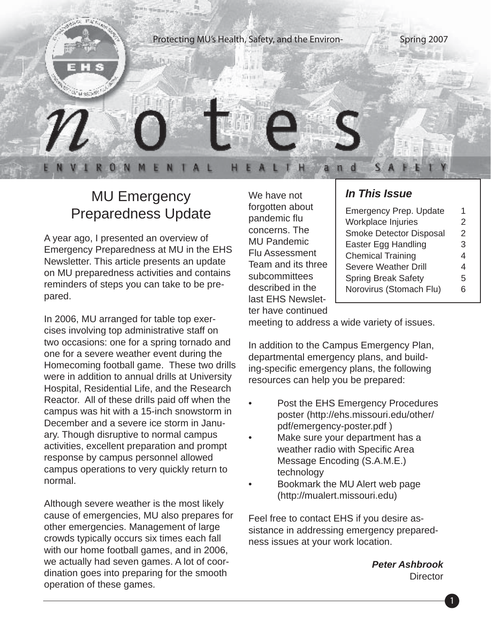

#### MU Emergency Preparedness Update

A year ago, I presented an overview of Emergency Preparedness at MU in the EHS Newsletter. This article presents an update on MU preparedness activities and contains reminders of steps you can take to be prepared.

In 2006, MU arranged for table top exercises involving top administrative staff on two occasions: one for a spring tornado and one for a severe weather event during the Homecoming football game. These two drills were in addition to annual drills at University Hospital, Residential Life, and the Research Reactor. All of these drills paid off when the campus was hit with a 15-inch snowstorm in December and a severe ice storm in January. Though disruptive to normal campus activities, excellent preparation and prompt response by campus personnel allowed campus operations to very quickly return to normal.

Although severe weather is the most likely cause of emergencies, MU also prepares for other emergencies. Management of large crowds typically occurs six times each fall with our home football games, and in 2006, we actually had seven games. A lot of coordination goes into preparing for the smooth operation of these games.

We have not forgotten about pandemic flu concerns. The MU Pandemic Flu Assessment Team and its three subcommittees described in the last EHS Newsletter have continued

#### *In This Issue*

| <b>Emergency Prep. Update</b> | 1 |
|-------------------------------|---|
| Workplace Injuries            | 2 |
| Smoke Detector Disposal       | 2 |
| Easter Egg Handling           | 3 |
| <b>Chemical Training</b>      | 4 |
| <b>Severe Weather Drill</b>   | 4 |
| <b>Spring Break Safety</b>    | 5 |
| Norovirus (Stomach Flu)       | 6 |
|                               |   |

meeting to address a wide variety of issues.

In addition to the Campus Emergency Plan, departmental emergency plans, and building-specific emergency plans, the following resources can help you be prepared:

- Post the EHS Emergency Procedures poster (http://ehs.missouri.edu/other/ pdf/emergency-poster.pdf )
- Make sure your department has a weather radio with Specific Area Message Encoding (S.A.M.E.) technology
- Bookmark the MU Alert web page (http://mualert.missouri.edu)

Feel free to contact EHS if you desire assistance in addressing emergency preparedness issues at your work location.

> *Peter Ashbrook* **Director**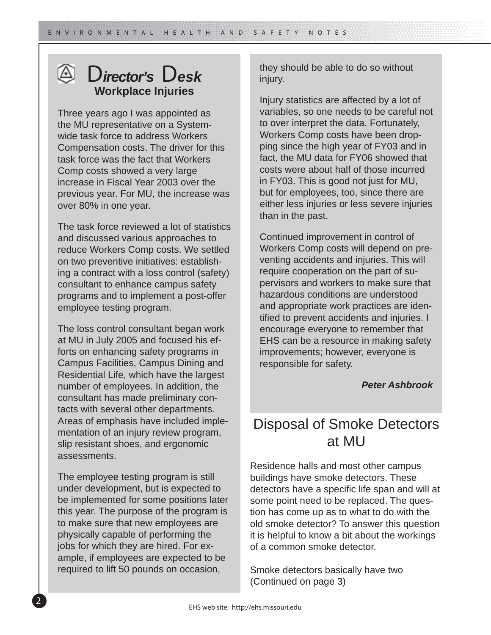#### D*irector's* D*esk* **Workplace Injuries**

Three years ago I was appointed as the MU representative on a Systemwide task force to address Workers Compensation costs. The driver for this task force was the fact that Workers Comp costs showed a very large increase in Fiscal Year 2003 over the previous year. For MU, the increase was over 80% in one year.

The task force reviewed a lot of statistics and discussed various approaches to reduce Workers Comp costs. We settled on two preventive initiatives: establishing a contract with a loss control (safety) consultant to enhance campus safety programs and to implement a post-offer employee testing program.

The loss control consultant began work at MU in July 2005 and focused his efforts on enhancing safety programs in Campus Facilities, Campus Dining and Residential Life, which have the largest number of employees. In addition, the consultant has made preliminary contacts with several other departments. Areas of emphasis have included implementation of an injury review program, slip resistant shoes, and ergonomic assessments.

The employee testing program is still under development, but is expected to be implemented for some positions later this year. The purpose of the program is to make sure that new employees are physically capable of performing the jobs for which they are hired. For example, if employees are expected to be required to lift 50 pounds on occasion,

they should be able to do so without injury.

Injury statistics are affected by a lot of variables, so one needs to be careful not to over interpret the data. Fortunately, Workers Comp costs have been dropping since the high year of FY03 and in fact, the MU data for FY06 showed that costs were about half of those incurred in FY03. This is good not just for MU, but for employees, too, since there are either less injuries or less severe injuries than in the past.

Continued improvement in control of Workers Comp costs will depend on preventing accidents and injuries. This will require cooperation on the part of supervisors and workers to make sure that hazardous conditions are understood and appropriate work practices are identified to prevent accidents and injuries. I encourage everyone to remember that EHS can be a resource in making safety improvements; however, everyone is responsible for safety.

#### *Peter Ashbrook*

#### Disposal of Smoke Detectors at MU

Residence halls and most other campus buildings have smoke detectors. These detectors have a specific life span and will at some point need to be replaced. The question has come up as to what to do with the old smoke detector? To answer this question it is helpful to know a bit about the workings of a common smoke detector.

Smoke detectors basically have two (Continued on page 3)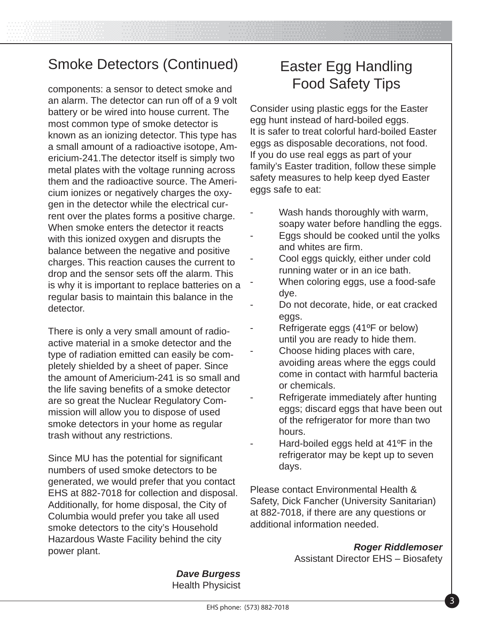components: a sensor to detect smoke and an alarm. The detector can run off of a 9 volt battery or be wired into house current. The most common type of smoke detector is known as an ionizing detector. This type has a small amount of a radioactive isotope, Americium-241.The detector itself is simply two metal plates with the voltage running across them and the radioactive source. The Americium ionizes or negatively charges the oxygen in the detector while the electrical current over the plates forms a positive charge. When smoke enters the detector it reacts with this ionized oxygen and disrupts the balance between the negative and positive charges. This reaction causes the current to drop and the sensor sets off the alarm. This is why it is important to replace batteries on a regular basis to maintain this balance in the detector.

There is only a very small amount of radioactive material in a smoke detector and the type of radiation emitted can easily be completely shielded by a sheet of paper. Since the amount of Americium-241 is so small and the life saving benefits of a smoke detector are so great the Nuclear Regulatory Commission will allow you to dispose of used smoke detectors in your home as regular trash without any restrictions.

Since MU has the potential for significant numbers of used smoke detectors to be generated, we would prefer that you contact EHS at 882-7018 for collection and disposal. Additionally, for home disposal, the City of Columbia would prefer you take all used smoke detectors to the city's Household Hazardous Waste Facility behind the city power plant.

### Easter Egg Handling Food Safety Tips

Consider using plastic eggs for the Easter egg hunt instead of hard-boiled eggs. It is safer to treat colorful hard-boiled Easter eggs as disposable decorations, not food. If you do use real eggs as part of your family's Easter tradition, follow these simple safety measures to help keep dyed Easter eggs safe to eat:

- Wash hands thoroughly with warm, soapy water before handling the eggs.
- Eggs should be cooked until the yolks and whites are firm.
- Cool eggs quickly, either under cold running water or in an ice bath.
- When coloring eggs, use a food-safe dye.
- Do not decorate, hide, or eat cracked eggs.
- Refrigerate eggs (41°F or below) until you are ready to hide them.
- Choose hiding places with care, avoiding areas where the eggs could come in contact with harmful bacteria or chemicals.
- Refrigerate immediately after hunting eggs; discard eggs that have been out of the refrigerator for more than two hours.
- Hard-boiled eggs held at  $41^{\circ}$ F in the refrigerator may be kept up to seven days.

Please contact Environmental Health & Safety, Dick Fancher (University Sanitarian) at 882-7018, if there are any questions or additional information needed.

> *Roger Riddlemoser* Assistant Director EHS – Biosafety

*Dave Burgess* Health Physicist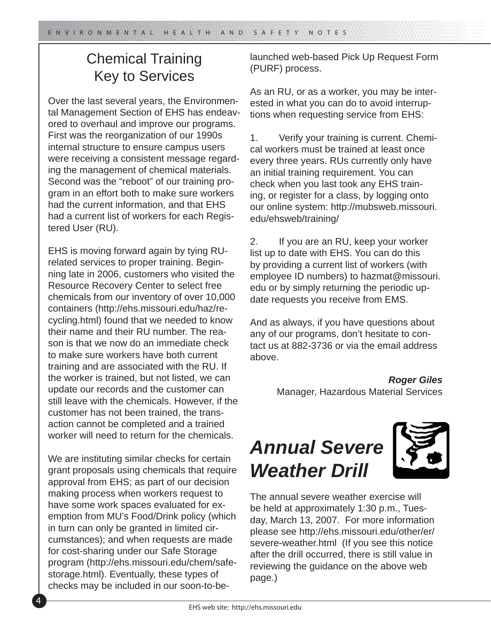#### Chemical Training Key to Services

Over the last several years, the Environmental Management Section of EHS has endeavored to overhaul and improve our programs. First was the reorganization of our 1990s internal structure to ensure campus users were receiving a consistent message regarding the management of chemical materials. Second was the "reboot" of our training program in an effort both to make sure workers had the current information, and that EHS had a current list of workers for each Registered User (RU).

EHS is moving forward again by tying RUrelated services to proper training. Beginning late in 2006, customers who visited the Resource Recovery Center to select free chemicals from our inventory of over 10,000 containers (http://ehs.missouri.edu/haz/recycling.html) found that we needed to know their name and their RU number. The reason is that we now do an immediate check to make sure workers have both current training and are associated with the RU. If the worker is trained, but not listed, we can update our records and the customer can still leave with the chemicals. However, if the customer has not been trained, the transaction cannot be completed and a trained worker will need to return for the chemicals.

We are instituting similar checks for certain grant proposals using chemicals that require approval from EHS; as part of our decision making process when workers request to have some work spaces evaluated for exemption from MU's Food/Drink policy (which in turn can only be granted in limited circumstances); and when requests are made for cost-sharing under our Safe Storage program (http://ehs.missouri.edu/chem/safestorage.html). Eventually, these types of checks may be included in our soon-to-belaunched web-based Pick Up Request Form (PURF) process.

As an RU, or as a worker, you may be interested in what you can do to avoid interruptions when requesting service from EHS:

1. Verify your training is current. Chemical workers must be trained at least once every three years. RUs currently only have an initial training requirement. You can check when you last took any EHS training, or register for a class, by logging onto our online system: http://mubsweb.missouri. edu/ehsweb/training/

2. If you are an RU, keep your worker list up to date with EHS. You can do this by providing a current list of workers (with employee ID numbers) to hazmat@missouri. edu or by simply returning the periodic update requests you receive from EMS.

And as always, if you have questions about any of our programs, don't hesitate to contact us at 882-3736 or via the email address above.

> *Roger Giles* Manager, Hazardous Material Services

# *Annual Severe Weather Drill*



The annual severe weather exercise will be held at approximately 1:30 p.m., Tuesday, March 13, 2007. For more information please see http://ehs.missouri.edu/other/er/ severe-weather.html (If you see this notice after the drill occurred, there is still value in reviewing the guidance on the above web page.)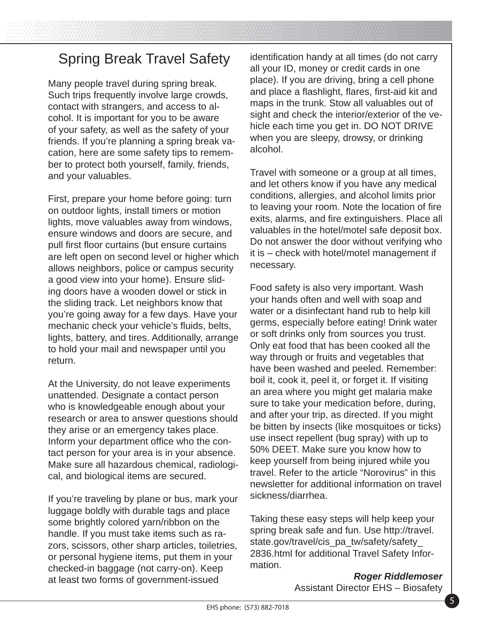### Spring Break Travel Safety

Many people travel during spring break. Such trips frequently involve large crowds, contact with strangers, and access to alcohol. It is important for you to be aware of your safety, as well as the safety of your friends. If you're planning a spring break vacation, here are some safety tips to remember to protect both yourself, family, friends, and your valuables.

First, prepare your home before going: turn on outdoor lights, install timers or motion lights, move valuables away from windows, ensure windows and doors are secure, and pull first floor curtains (but ensure curtains are left open on second level or higher which allows neighbors, police or campus security a good view into your home). Ensure sliding doors have a wooden dowel or stick in the sliding track. Let neighbors know that you're going away for a few days. Have your mechanic check your vehicle's fluids, belts, lights, battery, and tires. Additionally, arrange to hold your mail and newspaper until you return.

At the University, do not leave experiments unattended. Designate a contact person who is knowledgeable enough about your research or area to answer questions should they arise or an emergency takes place. Inform your department office who the contact person for your area is in your absence. Make sure all hazardous chemical, radiological, and biological items are secured.

If you're traveling by plane or bus, mark your luggage boldly with durable tags and place some brightly colored yarn/ribbon on the handle. If you must take items such as razors, scissors, other sharp articles, toiletries, or personal hygiene items, put them in your checked-in baggage (not carry-on). Keep at least two forms of government-issued

identification handy at all times (do not carry all your ID, money or credit cards in one place). If you are driving, bring a cell phone and place a flashlight, flares, first-aid kit and maps in the trunk. Stow all valuables out of sight and check the interior/exterior of the vehicle each time you get in. DO NOT DRIVE when you are sleepy, drowsy, or drinking alcohol.

Travel with someone or a group at all times, and let others know if you have any medical conditions, allergies, and alcohol limits prior to leaving your room. Note the location of fire exits, alarms, and fire extinguishers. Place all valuables in the hotel/motel safe deposit box. Do not answer the door without verifying who it is – check with hotel/motel management if necessary.

Food safety is also very important. Wash your hands often and well with soap and water or a disinfectant hand rub to help kill germs, especially before eating! Drink water or soft drinks only from sources you trust. Only eat food that has been cooked all the way through or fruits and vegetables that have been washed and peeled. Remember: boil it, cook it, peel it, or forget it. If visiting an area where you might get malaria make sure to take your medication before, during, and after your trip, as directed. If you might be bitten by insects (like mosquitoes or ticks) use insect repellent (bug spray) with up to 50% DEET. Make sure you know how to keep yourself from being injured while you travel. Refer to the article "Norovirus" in this newsletter for additional information on travel sickness/diarrhea.

Taking these easy steps will help keep your spring break safe and fun. Use http://travel. state.gov/travel/cis\_pa\_tw/safety/safety\_ 2836.html for additional Travel Safety Information.

> *Roger Riddlemoser* Assistant Director EHS – Biosafety